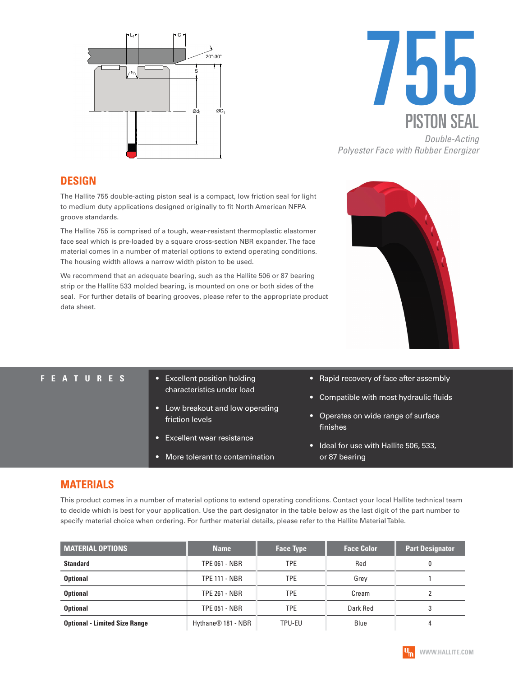



#### **DESIGN**

The Hallite 755 double-acting piston seal is a compact, low friction seal for light to medium duty applications designed originally to fit North American NFPA groove standards.

The Hallite 755 is comprised of a tough, wear-resistant thermoplastic elastomer face seal which is pre-loaded by a square cross-section NBR expander. The face material comes in a number of material options to extend operating conditions. The housing width allows a narrow width piston to be used.

We recommend that an adequate bearing, such as the Hallite 506 or 87 bearing strip or the Hallite 533 molded bearing, is mounted on one or both sides of the seal. For further details of bearing grooves, please refer to the appropriate product data sheet.

- **FEATURES** Excellent position holding characteristics under load
	- Low breakout and low operating friction levels
	- Excellent wear resistance
	- More tolerant to contamination
- Rapid recovery of face after assembly
- Compatible with most hydraulic fluids
- Operates on wide range of surface finishes
- Ideal for use with Hallite 506, 533, or 87 bearing

### **MATERIALS**

This product comes in a number of material options to extend operating conditions. Contact your local Hallite technical team to decide which is best for your application. Use the part designator in the table below as the last digit of the part number to specify material choice when ordering. For further material details, please refer to the Hallite Material Table.

| <b>MATERIAL OPTIONS</b>              | <b>Name</b>                    | <b>Face Type</b> | <b>Face Color</b> | <b>Part Designator</b> |
|--------------------------------------|--------------------------------|------------------|-------------------|------------------------|
| <b>Standard</b>                      | <b>TPE 061 - NBR</b>           | <b>TPE</b>       | Red               | 0                      |
| <b>Optional</b>                      | <b>TPE 111 - NBR</b>           | TPE              | Grey              |                        |
| <b>Optional</b>                      | <b>TPE 261 - NBR</b>           | TPE              | Cream             |                        |
| <b>Optional</b>                      | <b>TPE 051 - NBR</b>           | <b>TPE</b>       | Dark Red          | 3                      |
| <b>Optional - Limited Size Range</b> | Hythane <sup>®</sup> 181 - NBR | TPU-EU           | Blue              | 4                      |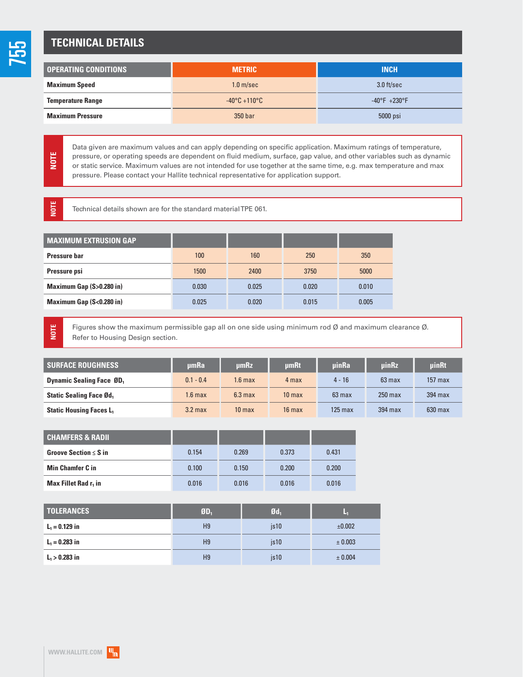# 755

# **TECHNICAL DETAILS**

| <b>OPERATING CONDITIONS</b> | <b>METRIC</b>                   | <b>INCH</b>                   |
|-----------------------------|---------------------------------|-------------------------------|
| <b>Maximum Speed</b>        | 1.0 <sub>m/sec</sub>            | $3.0$ ft/sec                  |
| <b>Temperature Range</b>    | $-40\degree$ C +110 $\degree$ C | $-40^{\circ}F + 230^{\circ}F$ |
| <b>Maximum Pressure</b>     | 350 bar                         | 5000 psi                      |

Data given are maximum values and can apply depending on specific application. Maximum ratings of temperature, pressure, or operating speeds are dependent on fluid medium, surface, gap value, and other variables such as dynamic or static service. Maximum values are not intended for use together at the same time, e.g. max temperature and max pressure. Please contact your Hallite technical representative for application support.

Technical details shown are for the standard material TPE 061.

| <b>MAXIMUM EXTRUSION GAP</b> |       |       |       |       |
|------------------------------|-------|-------|-------|-------|
| Pressure bar                 | 100   | 160   | 250   | 350   |
| Pressure psi                 | 1500  | 2400  | 3750  | 5000  |
| Maximum Gap (S>0.280 in)     | 0.030 | 0.025 | 0.020 | 0.010 |
| Maximum Gap (S<0.280 in)     | 0.025 | 0.020 | 0.015 | 0.005 |

**NOTE**

**NOTE**

**NOTE**

Figures show the maximum permissible gap all on one side using minimum rod Ø and maximum clearance Ø. Refer to Housing Design section.

| <b>SURFACE ROUGHNESS</b>                  | umRa        | umRz               | <b>umRt</b>       | <b>uinRa</b>     | uinRz            | <b>uinRt</b>      |
|-------------------------------------------|-------------|--------------------|-------------------|------------------|------------------|-------------------|
| <b>Dynamic Sealing Face ØD</b> ,          | $0.1 - 0.4$ | 1.6 <sub>max</sub> | 4 max             | $4 - 16$         | $63 \text{ max}$ | $157 \text{ max}$ |
| <b>Static Sealing Face Ød,</b>            | 1.6 max     | $6.3 \text{ max}$  | 10 <sub>max</sub> | $63 \text{ max}$ | $250$ max        | $394$ max         |
| <b>Static Housing Faces L<sub>1</sub></b> | $3.2$ max   | 10 <sub>max</sub>  | $16$ max          | $125$ max        | $394$ max        | $630$ max         |

| <b>CHAMFERS &amp; RADIL</b>      |       |       |       |       |
|----------------------------------|-------|-------|-------|-------|
| Groove Section $\leq$ S in       | 0.154 | 0.269 | 0.373 | 0.431 |
| <b>Min Chamfer C in</b>          | 0.100 | 0.150 | 0.200 | 0.200 |
| Max Fillet Rad r <sub>1</sub> in | 0.016 | 0.016 | 0.016 | 0.016 |

| <b>TOLERANCES</b> | \$D <sub>1</sub> | Ød.   | w           |
|-------------------|------------------|-------|-------------|
| $L_1 = 0.129$ in  | H <sub>9</sub>   | is10  | ±0.002      |
| $L_1 = 0.283$ in  | H <sub>9</sub>   | is 10 | $\pm 0.003$ |
| $L_1 > 0.283$ in  | H <sub>9</sub>   | is 10 | ± 0.004     |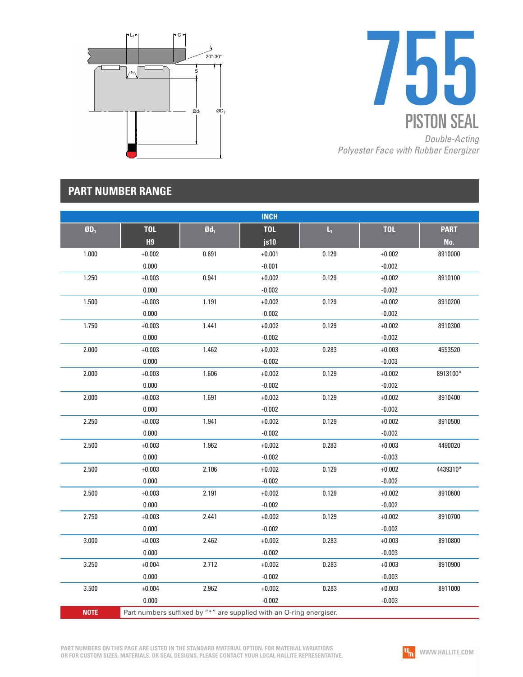



# **PART NUMBER RANGE**

|             |                |                   | <b>INCH</b>                                                         |                |            |             |
|-------------|----------------|-------------------|---------------------------------------------------------------------|----------------|------------|-------------|
| $ØD_1$      | <b>TOL</b>     | $\mathfrak{gd}_1$ | <b>TOL</b>                                                          | $\mathsf{L}_1$ | <b>TOL</b> | <b>PART</b> |
|             | H <sub>9</sub> |                   | js10                                                                |                |            | No.         |
| 1.000       | $+0.002$       | 0.691             | $+0.001$                                                            | 0.129          | $+0.002$   | 8910000     |
|             | 0.000          |                   | $-0.001$                                                            |                | $-0.002$   |             |
| 1.250       | $+0.003$       | 0.941             | $+0.002$                                                            | 0.129          | $+0.002$   | 8910100     |
|             | 0.000          |                   | $-0.002$                                                            |                | $-0.002$   |             |
| 1.500       | $+0.003$       | 1.191             | $+0.002$                                                            | 0.129          | $+0.002$   | 8910200     |
|             | 0.000          |                   | $-0.002$                                                            |                | $-0.002$   |             |
| 1.750       | $+0.003$       | 1.441             | $+0.002$                                                            | 0.129          | $+0.002$   | 8910300     |
|             | 0.000          |                   | $-0.002$                                                            |                | $-0.002$   |             |
| 2.000       | $+0.003$       | 1.462             | $+0.002$                                                            | 0.283          | $+0.003$   | 4553520     |
|             | 0.000          |                   | $-0.002$                                                            |                | $-0.003$   |             |
| 2.000       | $+0.003$       | 1.606             | $+0.002$                                                            | 0.129          | $+0.002$   | 8913100*    |
|             | 0.000          |                   | $-0.002$                                                            |                | $-0.002$   |             |
| 2.000       | $+0.003$       | 1.691             | $+0.002$                                                            | 0.129          | $+0.002$   | 8910400     |
|             | 0.000          |                   | $-0.002$                                                            |                | $-0.002$   |             |
| 2.250       | $+0.003$       | 1.941             | $+0.002$                                                            | 0.129          | $+0.002$   | 8910500     |
|             | 0.000          |                   | $-0.002$                                                            |                | $-0.002$   |             |
| 2.500       | $+0.003$       | 1.962             | $+0.002$                                                            | 0.283          | $+0.003$   | 4490020     |
|             | 0.000          |                   | $-0.002$                                                            |                | $-0.003$   |             |
| 2.500       | $+0.003$       | 2.106             | $+0.002$                                                            | 0.129          | $+0.002$   | 4439310*    |
|             | 0.000          |                   | $-0.002$                                                            |                | $-0.002$   |             |
| 2.500       | $+0.003$       | 2.191             | $+0.002$                                                            | 0.129          | $+0.002$   | 8910600     |
|             | 0.000          |                   | $-0.002$                                                            |                | $-0.002$   |             |
| 2.750       | $+0.003$       | 2.441             | $+0.002$                                                            | 0.129          | $+0.002$   | 8910700     |
|             | 0.000          |                   | $-0.002$                                                            |                | $-0.002$   |             |
| 3.000       | $+0.003$       | 2.462             | $+0.002$                                                            | 0.283          | $+0.003$   | 8910800     |
|             | 0.000          |                   | $-0.002$                                                            |                | $-0.003$   |             |
| 3.250       | $+0.004$       | 2.712             | $+0.002$                                                            | 0.283          | $+0.003$   | 8910900     |
|             | 0.000          |                   | $-0.002$                                                            |                | $-0.003$   |             |
| 3.500       | $+0.004$       | 2.962             | $+0.002$                                                            | 0.283          | $+0.003$   | 8911000     |
|             | 0.000          |                   | $-0.002$                                                            |                | $-0.003$   |             |
| <b>NOTE</b> |                |                   | Part numbers suffixed by "*" are supplied with an O-ring energiser. |                |            |             |

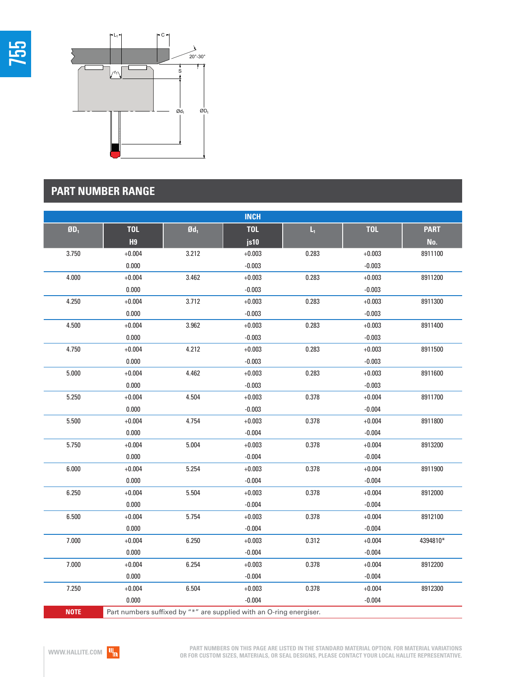



# **PART NUMBER RANGE**

|             |                |                   | <b>INCH</b>                                                         |                         |            |             |
|-------------|----------------|-------------------|---------------------------------------------------------------------|-------------------------|------------|-------------|
| $ØD_1$      | <b>TOL</b>     | $\mathfrak{gd}_1$ | <b>TOL</b>                                                          | $\mathsf{L}_\mathrm{t}$ | <b>TOL</b> | <b>PART</b> |
|             | H <sub>9</sub> |                   | js10                                                                |                         |            | No.         |
| 3.750       | $+0.004$       | 3.212             | $+0.003$                                                            | 0.283                   | $+0.003$   | 8911100     |
|             | 0.000          |                   | $-0.003$                                                            |                         | $-0.003$   |             |
| 4.000       | $+0.004$       | 3.462             | $+0.003$                                                            | 0.283                   | $+0.003$   | 8911200     |
|             | 0.000          |                   | $-0.003$                                                            |                         | $-0.003$   |             |
| 4.250       | $+0.004$       | 3.712             | $+0.003$                                                            | 0.283                   | $+0.003$   | 8911300     |
|             | 0.000          |                   | $-0.003$                                                            |                         | $-0.003$   |             |
| 4.500       | $+0.004$       | 3.962             | $+0.003$                                                            | 0.283                   | $+0.003$   | 8911400     |
|             | 0.000          |                   | $-0.003$                                                            |                         | $-0.003$   |             |
| 4.750       | $+0.004$       | 4.212             | $+0.003$                                                            | 0.283                   | $+0.003$   | 8911500     |
|             | 0.000          |                   | $-0.003$                                                            |                         | $-0.003$   |             |
| 5.000       | $+0.004$       | 4.462             | $+0.003$                                                            | 0.283                   | $+0.003$   | 8911600     |
|             | 0.000          |                   | $-0.003$                                                            |                         | $-0.003$   |             |
| 5.250       | $+0.004$       | 4.504             | $+0.003$                                                            | 0.378                   | $+0.004$   | 8911700     |
|             | 0.000          |                   | $-0.003$                                                            |                         | $-0.004$   |             |
| 5.500       | $+0.004$       | 4.754             | $+0.003$                                                            | 0.378                   | $+0.004$   | 8911800     |
|             | 0.000          |                   | $-0.004$                                                            |                         | $-0.004$   |             |
| 5.750       | $+0.004$       | 5.004             | $+0.003$                                                            | 0.378                   | $+0.004$   | 8913200     |
|             | 0.000          |                   | $-0.004$                                                            |                         | $-0.004$   |             |
| 6.000       | $+0.004$       | 5.254             | $+0.003$                                                            | 0.378                   | $+0.004$   | 8911900     |
|             | 0.000          |                   | $-0.004$                                                            |                         | $-0.004$   |             |
| 6.250       | $+0.004$       | 5.504             | $+0.003$                                                            | 0.378                   | $+0.004$   | 8912000     |
|             | 0.000          |                   | $-0.004$                                                            |                         | $-0.004$   |             |
| 6.500       | $+0.004$       | 5.754             | $+0.003$                                                            | 0.378                   | $+0.004$   | 8912100     |
|             | 0.000          |                   | $-0.004$                                                            |                         | $-0.004$   |             |
| 7.000       | $+0.004$       | 6.250             | $+0.003$                                                            | 0.312                   | $+0.004$   | 4394810*    |
|             | 0.000          |                   | $-0.004$                                                            |                         | $-0.004$   |             |
| 7.000       | $+0.004$       | 6.254             | $+0.003$                                                            | 0.378                   | $+0.004$   | 8912200     |
|             | 0.000          |                   | $-0.004$                                                            |                         | $-0.004$   |             |
| 7.250       | $+0.004$       | 6.504             | $+0.003$                                                            | 0.378                   | $+0.004$   | 8912300     |
|             | 0.000          |                   | $-0.004$                                                            |                         | $-0.004$   |             |
| <b>NOTE</b> |                |                   | Part numbers suffixed by "*" are supplied with an O-ring energiser. |                         |            |             |